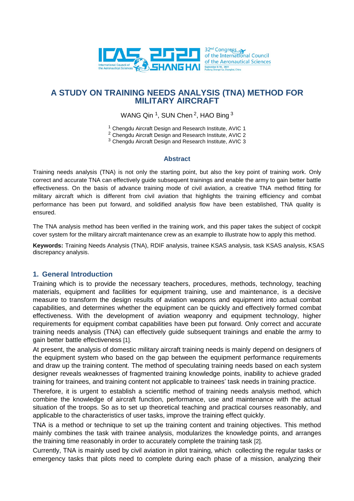

## **A STUDY ON TRAINING NEEDS ANALYSIS (TNA) METHOD FOR MILITARY AIRCRAFT**

WANG Qin  $1$ , SUN Chen  $2$ , HAO Bing  $3$ 

<sup>1</sup> Chengdu Aircraft Design and Research Institute, AVIC 1

<sup>2</sup> Chengdu Aircraft Design and Research Institute, AVIC 2

<sup>3</sup> Chengdu Aircraft Design and Research Institute, AVIC 3

#### **Abstract**

Training needs analysis (TNA) is not only the starting point, but also the key point of training work. Only correct and accurate TNA can effectively guide subsequent trainings and enable the army to gain better battle effectiveness. On the basis of advance training mode of civil aviation, a creative TNA method fitting for military aircraft which is different from civil aviation that highlights the training efficiency and combat performance has been put forward, and solidified analysis flow have been established, TNA quality is ensured.

The TNA analysis method has been verified in the training work, and this paper takes the subject of cockpit cover system for the military aircraft maintenance crew as an example to illustrate how to apply this method.

**Keywords:** Training Needs Analysis (TNA), RDIF analysis, trainee KSAS analysis, task KSAS analysis, KSAS discrepancy analysis.

#### **1. General Introduction**

Training which is to provide the necessary teachers, procedures, methods, technology, teaching materials, equipment and facilities for equipment training, use and maintenance, is a decisive measure to transform the design results of aviation weapons and equipment into actual combat capabilities, and determines whether the equipment can be quickly and effectively formed combat effectiveness. With the development of aviation weaponry and equipment technology, higher requirements for equipment combat capabilities have been put forward. Only correct and accurate training needs analysis (TNA) can effectively guide subsequent trainings and enable the army to gain better battle effectiveness [1].

At present, the analysis of domestic military aircraft training needs is mainly depend on designers of the equipment system who based on the gap between the equipment performance requirements and draw up the training content. The method of speculating training needs based on each system designer reveals weaknesses of fragmented training knowledge points, inability to achieve graded training for trainees, and training content not applicable to trainees' task needs in training practice.

Therefore, it is urgent to establish a scientific method of training needs analysis method, which combine the knowledge of aircraft function, performance, use and maintenance with the actual situation of the troops. So as to set up theoretical teaching and practical courses reasonably, and applicable to the characteristics of user tasks, improve the training effect quickly.

TNA is a method or technique to set up the training content and training objectives. This method mainly combines the task with trainee analysis, modularizes the knowledge points, and arranges the training time reasonably in order to accurately complete the training task [2].

Currently, TNA is mainly used by civil aviation in pilot training, which collecting the regular tasks or emergency tasks that pilots need to complete during each phase of a mission, analyzing their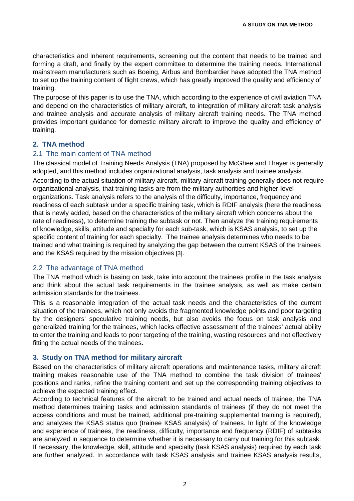characteristics and inherent requirements, screening out the content that needs to be trained and forming a draft, and finally by the expert committee to determine the training needs. International mainstream manufacturers such as Boeing, Airbus and Bombardier have adopted the TNA method to set up the training content of flight crews, which has greatly improved the quality and efficiency of training.

The purpose of this paper is to use the TNA, which according to the experience of civil aviation TNA and depend on the characteristics of military aircraft, to integration of military aircraft task analysis and trainee analysis and accurate analysis of military aircraft training needs. The TNA method provides important guidance for domestic military aircraft to improve the quality and efficiency of training.

## **2. TNA method**

#### 2.1 The main content of TNA method

The classical model of Training Needs Analysis (TNA) proposed by McGhee and Thayer is generally adopted, and this method includes organizational analysis, task analysis and trainee analysis.

According to the actual situation of military aircraft, military aircraft training generally does not require organizational analysis, that training tasks are from the military authorities and higher-level organizations. Task analysis refers to the analysis of the difficulty, importance, frequency and readiness of each subtask under a specific training task, which is RDIF analysis (here the readiness that is newly added, based on the characteristics of the military aircraft which concerns about the rate of readiness), to determine training the subtask or not. Then analyze the training requirements of knowledge, skills, attitude and specialty for each sub-task, which is KSAS analysis, to set up the specific content of training for each specialty. The trainee analysis determines who needs to be trained and what training is required by analyzing the gap between the current KSAS of the trainees and the KSAS required by the mission objectives [3].

## 2.2 The advantage of TNA method

The TNA method which is basing on task, take into account the trainees profile in the task analysis and think about the actual task requirements in the trainee analysis, as well as make certain admission standards for the trainees.

This is a reasonable integration of the actual task needs and the characteristics of the current situation of the trainees, which not only avoids the fragmented knowledge points and poor targeting by the designers' speculative training needs, but also avoids the focus on task analysis and generalized training for the trainees, which lacks effective assessment of the trainees' actual ability to enter the training and leads to poor targeting of the training, wasting resources and not effectively fitting the actual needs of the trainees.

#### **3. Study on TNA method for military aircraft**

Based on the characteristics of military aircraft operations and maintenance tasks, military aircraft training makes reasonable use of the TNA method to combine the task division of trainees' positions and ranks, refine the training content and set up the corresponding training objectives to achieve the expected training effect.

According to technical features of the aircraft to be trained and actual needs of trainee, the TNA method determines training tasks and admission standards of trainees (if they do not meet the access conditions and must be trained, additional pre-training supplemental training is required), and analyzes the KSAS status quo (trainee KSAS analysis) of trainees. In light of the knowledge and experience of trainees, the readiness, difficulty, importance and frequency (RDIF) of subtasks are analyzed in sequence to determine whether it is necessary to carry out training for this subtask. If necessary, the knowledge, skill, attitude and specialty (task KSAS analysis) required by each task are further analyzed. In accordance with task KSAS analysis and trainee KSAS analysis results,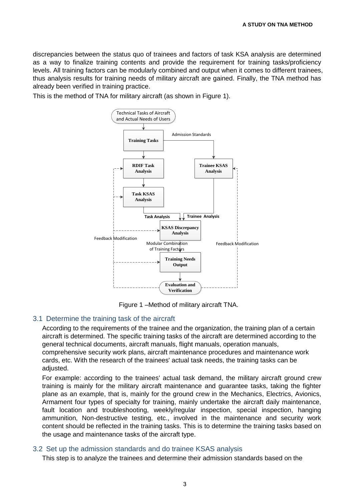discrepancies between the status quo of trainees and factors of task KSA analysis are determined as a way to finalize training contents and provide the requirement for training tasks/proficiency levels. All training factors can be modularly combined and output when it comes to different trainees, thus analysis results for training needs of military aircraft are gained. Finally, the TNA method has already been verified in training practice.

This is the method of TNA for military aircraft (as shown in Figure 1).



Figure 1 –Method of military aircraft TNA.

#### 3.1 Determine the training task of the aircraft

According to the requirements of the trainee and the organization, the training plan of a certain aircraft is determined. The specific training tasks of the aircraft are determined according to the general technical documents, aircraft manuals, flight manuals, operation manuals, comprehensive security work plans, aircraft maintenance procedures and maintenance work cards, etc. With the research of the trainees' actual task needs, the training tasks can be adjusted.

For example: according to the trainees' actual task demand, the military aircraft ground crew training is mainly for the military aircraft maintenance and guarantee tasks, taking the fighter plane as an example, that is, mainly for the ground crew in the Mechanics, Electrics, Avionics, Armament four types of specialty for training, mainly undertake the aircraft daily maintenance, fault location and troubleshooting, weekly/regular inspection, special inspection, hanging ammunition, Non-destructive testing, etc., involved in the maintenance and security work content should be reflected in the training tasks. This is to determine the training tasks based on the usage and maintenance tasks of the aircraft type.

#### 3.2 Set up the admission standards and do trainee KSAS analysis

This step is to analyze the trainees and determine their admission standards based on the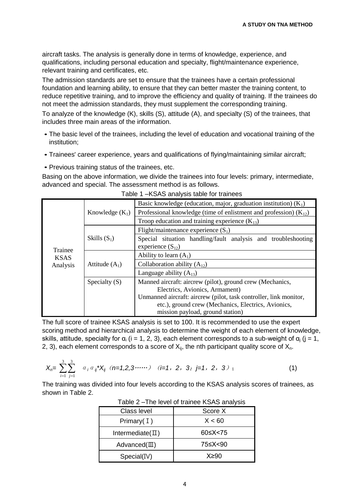aircraft tasks. The analysis is generally done in terms of knowledge, experience, and qualifications, including personal education and specialty, flight/maintenance experience, relevant training and certificates, etc.

The admission standards are set to ensure that the trainees have a certain professional foundation and learning ability, to ensure that they can better master the training content, to reduce repetitive training, and to improve the efficiency and quality of training. If the trainees do not meet the admission standards, they must supplement the corresponding training. To analyze of the knowledge (K), skills (S), attitude (A), and specialty (S) of the trainees, that includes three main areas of the information.

- The basic level of the trainees, including the level of education and vocational training of the institution;
- Trainees' career experience, years and qualifications of flying/maintaining similar aircraft;
- Previous training status of the trainees, etc.

Basing on the above information, we divide the trainees into four levels: primary, intermediate, advanced and special. The assessment method is as follows.

|             |                   | Basic knowledge (education, major, graduation institution) $(K_1)$                          |  |  |  |  |  |
|-------------|-------------------|---------------------------------------------------------------------------------------------|--|--|--|--|--|
|             | Knowledge $(K_1)$ | Professional knowledge (time of enlistment and profession) $(K_{12})$                       |  |  |  |  |  |
|             |                   | Troop education and training experience $(K_{13})$                                          |  |  |  |  |  |
|             |                   | Flight/maintenance experience $(S_1)$                                                       |  |  |  |  |  |
| Trainee     | Skills $(S_1)$    | Special situation handling/fault analysis and troubleshooting<br>experience $(S_{12})$      |  |  |  |  |  |
| <b>KSAS</b> |                   | Ability to learn $(A_1)$                                                                    |  |  |  |  |  |
| Analysis    | Attitude $(A_1)$  | Collaboration ability $(A_{12})$                                                            |  |  |  |  |  |
|             |                   | Language ability $(A_{13})$                                                                 |  |  |  |  |  |
|             | Specialty $(S)$   | Manned aircraft: aircrew (pilot), ground crew (Mechanics,<br>Electrics, Avionics, Armament) |  |  |  |  |  |
|             |                   | Unmanned aircraft: aircrew (pilot, task controller, link monitor,                           |  |  |  |  |  |
|             |                   | etc.), ground crew (Mechanics, Electrics, Avionics,                                         |  |  |  |  |  |
|             |                   | mission payload, ground station)                                                            |  |  |  |  |  |

The full score of trainee KSAS analysis is set to 100. It is recommended to use the expert scoring method and hierarchical analysis to determine the weight of each element of knowledge, skills, attitude, specialty for  $\alpha_i$  (i = 1, 2, 3), each element corresponds to a sub-weight of  $\alpha_i$  (j = 1, 2, 3), each element corresponds to a score of  $X_{ij}$ , the nth participant quality score of  $X_{n}$ .

$$
X_{n} = \sum_{i=1}^{3} \sum_{j=1}^{3} a_{i} a_{ij} X_{ij} \quad (n=1,2,3 \cdots) \quad (i=1, 2, 3; j=1, 2, 3) ; \tag{1}
$$

The training was divided into four levels according to the KSAS analysis scores of trainees, as shown in Table 2.

|                         | $1000$ $\mu$ $\sigma$ $1110$ 10 $\sigma$ to $101$ trainted the $100$ to all anyons |  |  |  |
|-------------------------|------------------------------------------------------------------------------------|--|--|--|
| <b>Class level</b>      | Score X                                                                            |  |  |  |
| Primary $(1)$           | X < 60                                                                             |  |  |  |
| Intermediate $(\Pi)$    | 60≤X<75                                                                            |  |  |  |
| $Advanced(\mathbb{II})$ | 75≤X<90                                                                            |  |  |  |
| Special(IV)             | X≥90                                                                               |  |  |  |

Table 2 –The level of trainee KSAS analysis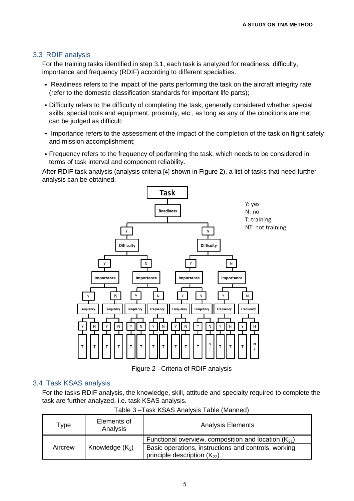### 3.3 RDIF analysis

For the training tasks identified in step 3.1, each task is analyzed for readiness, difficulty, importance and frequency (RDIF) according to different specialties.

- Readiness refers to the impact of the parts performing the task on the aircraft integrity rate (refer to the domestic classification standards for important life parts);
- Difficulty refers to the difficulty of completing the task, generally considered whether special skills, special tools and equipment, proximity, etc., as long as any of the conditions are met, can be judged as difficult;
- Importance refers to the assessment of the impact of the completion of the task on flight safety and mission accomplishment;
- Frequency refers to the frequency of performing the task, which needs to be considered in terms of task interval and component reliability.

After RDIF task analysis (analysis criteria [4] shown in Figure 2), a list of tasks that need further analysis can be obtained.



Figure 2 –Criteria of RDIF analysis

#### 3.4 Task KSAS analysis

For the tasks RDIF analysis, the knowledge, skill, attitude and specialty required to complete the task are further analyzed, i.e. task KSAS analysis.

| Type    | Elements of<br>Analysis | <b>Analysis Elements</b>                                                                 |  |  |  |  |
|---------|-------------------------|------------------------------------------------------------------------------------------|--|--|--|--|
| Aircrew |                         | Functional overview, composition and location $(K_{21})$                                 |  |  |  |  |
|         | Knowledge $(K_2)$       | Basic operations, instructions and controls, working<br>principle description $(K_{22})$ |  |  |  |  |

Table 3 –Task KSAS Analysis Table (Manned)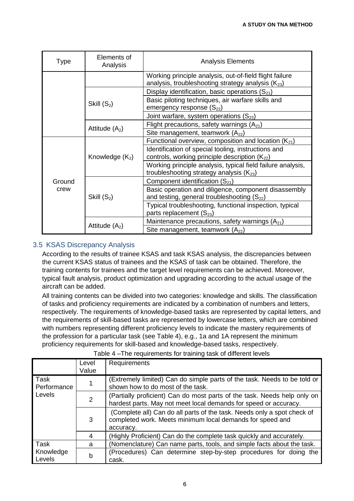| Type   | Elements of<br>Analysis | <b>Analysis Elements</b>                                                                                          |  |  |  |  |
|--------|-------------------------|-------------------------------------------------------------------------------------------------------------------|--|--|--|--|
|        |                         | Working principle analysis, out-of-field flight failure<br>analysis, troubleshooting strategy analysis $(K_{23})$ |  |  |  |  |
|        |                         | Display identification, basic operations $(S_{21})$                                                               |  |  |  |  |
|        | Skill $(S_2)$           | Basic piloting techniques, air warfare skills and<br>emergency response $(S_{22})$                                |  |  |  |  |
|        |                         | Joint warfare, system operations $(S_{23})$                                                                       |  |  |  |  |
|        | Attitude $(A_2)$        | Flight precautions, safety warnings $(A_{21})$                                                                    |  |  |  |  |
|        |                         | Site management, teamwork $(A_{22})$                                                                              |  |  |  |  |
|        |                         | Functional overview, composition and location $(K_{21})$                                                          |  |  |  |  |
|        | Knowledge $(K_2)$       | Identification of special tooling, instructions and<br>controls, working principle description $(K_{22})$         |  |  |  |  |
|        |                         | Working principle analysis, typical field failure analysis,<br>troubleshooting strategy analysis $(K_{23})$       |  |  |  |  |
| Ground |                         | Component identification $(S_{21})$                                                                               |  |  |  |  |
| crew   | Skill $(S_2)$           | Basic operation and diligence, component disassembly<br>and testing, general troubleshooting $(S_{22})$           |  |  |  |  |
|        |                         | Typical troubleshooting, functional inspection, typical<br>parts replacement $(S_{23})$                           |  |  |  |  |
|        |                         | Maintenance precautions, safety warnings $(A_{21})$                                                               |  |  |  |  |
|        | Attitude $(A_2)$        | Site management, teamwork $(A_{22})$                                                                              |  |  |  |  |

## 3.5 KSAS Discrepancy Analysis

According to the results of trainee KSAS and task KSAS analysis, the discrepancies between the current KSAS status of trainees and the KSAS of task can be obtained. Therefore, the training contents for trainees and the target level requirements can be achieved. Moreover, typical fault analysis, product optimization and upgrading according to the actual usage of the aircraft can be added.

All training contents can be divided into two categories: knowledge and skills. The classification of tasks and proficiency requirements are indicated by a combination of numbers and letters, respectively. The requirements of knowledge-based tasks are represented by capital letters, and the requirements of skill-based tasks are represented by lowercase letters, which are combined with numbers representing different proficiency levels to indicate the mastery requirements of the profession for a particular task (see Table 4), e.g., 1a and 1A represent the minimum proficiency requirements for skill-based and knowledge-based tasks, respectively.

| $1$ able $\pm$ -THe requirements for training task or unicrent levels |                |                                                                                                                                                   |  |  |  |  |  |
|-----------------------------------------------------------------------|----------------|---------------------------------------------------------------------------------------------------------------------------------------------------|--|--|--|--|--|
|                                                                       | Level<br>Value | Requirements                                                                                                                                      |  |  |  |  |  |
| Task<br>Performance                                                   |                | (Extremely limited) Can do simple parts of the task. Needs to be told or<br>shown how to do most of the task.                                     |  |  |  |  |  |
| Levels                                                                | 2              | (Partially proficient) Can do most parts of the task. Needs help only on<br>hardest parts. May not meet local demands for speed or accuracy.      |  |  |  |  |  |
|                                                                       | 3              | (Complete all) Can do all parts of the task. Needs only a spot check of<br>completed work. Meets minimum local demands for speed and<br>accuracy. |  |  |  |  |  |
|                                                                       | 4              | (Highly Proficient) Can do the complete task quickly and accurately.                                                                              |  |  |  |  |  |
| Task                                                                  | a              | (Nomenclature) Can name parts, tools, and simple facts about the task.                                                                            |  |  |  |  |  |
| Knowledge<br>Levels                                                   | b              | (Procedures) Can determine step-by-step procedures for doing the<br>cask.                                                                         |  |  |  |  |  |

# Table 4 –The requirements for training task of different levels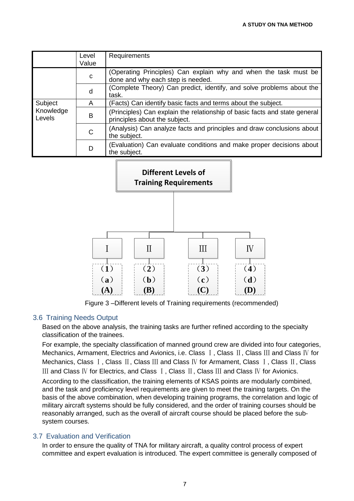|                                | Level<br>Value | Requirements                                                                                                |
|--------------------------------|----------------|-------------------------------------------------------------------------------------------------------------|
| Subject<br>Knowledge<br>Levels | C              | (Operating Principles) Can explain why and when the task must be<br>done and why each step is needed.       |
|                                | d              | (Complete Theory) Can predict, identify, and solve problems about the<br>task.                              |
|                                | A              | (Facts) Can identify basic facts and terms about the subject.                                               |
|                                | B              | (Principles) Can explain the relationship of basic facts and state general<br>principles about the subject. |
|                                | C              | (Analysis) Can analyze facts and principles and draw conclusions about<br>the subject.                      |
|                                | D              | (Evaluation) Can evaluate conditions and make proper decisions about<br>the subject.                        |



Figure 3 –Different levels of Training requirements (recommended)

## 3.6 Training Needs Output

Based on the above analysis, the training tasks are further refined according to the specialty classification of the trainees.

For example, the specialty classification of manned ground crew are divided into four categories, Mechanics, Armament, Electrics and Avionics, i.e. Class I, Class II, Class III and Class IV for Mechanics, Class I, Class II, Class III and Class IV for Armament, Class I, Class II, Class Ⅲ and Class Ⅳ for Electrics, and Class Ⅰ, Class Ⅱ, Class Ⅲ and Class Ⅳ for Avionics.

According to the classification, the training elements of KSAS points are modularly combined, and the task and proficiency level requirements are given to meet the training targets. On the basis of the above combination, when developing training programs, the correlation and logic of military aircraft systems should be fully considered, and the order of training courses should be reasonably arranged, such as the overall of aircraft course should be placed before the subsystem courses.

## 3.7 Evaluation and Verification

In order to ensure the quality of TNA for military aircraft, a quality control process of expert committee and expert evaluation is introduced. The expert committee is generally composed of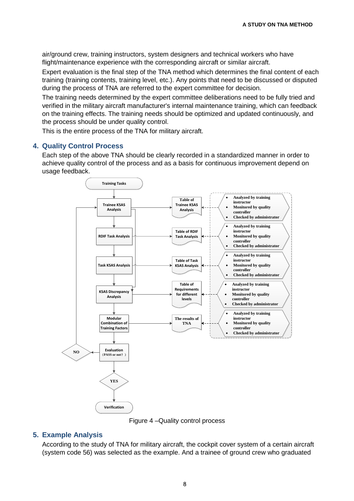air/ground crew, training instructors, system designers and technical workers who have flight/maintenance experience with the corresponding aircraft or similar aircraft.

Expert evaluation is the final step of the TNA method which determines the final content of each training (training contents, training level, etc.). Any points that need to be discussed or disputed during the process of TNA are referred to the expert committee for decision.

The training needs determined by the expert committee deliberations need to be fully tried and verified in the military aircraft manufacturer's internal maintenance training, which can feedback on the training effects. The training needs should be optimized and updated continuously, and the process should be under quality control.

This is the entire process of the TNA for military aircraft.

### **4. Quality Control Process**

Each step of the above TNA should be clearly recorded in a standardized manner in order to achieve quality control of the process and as a basis for continuous improvement depend on usage feedback.



Figure 4 –Quality control process

## **5. Example Analysis**

According to the study of TNA for military aircraft, the cockpit cover system of a certain aircraft (system code 56) was selected as the example. And a trainee of ground crew who graduated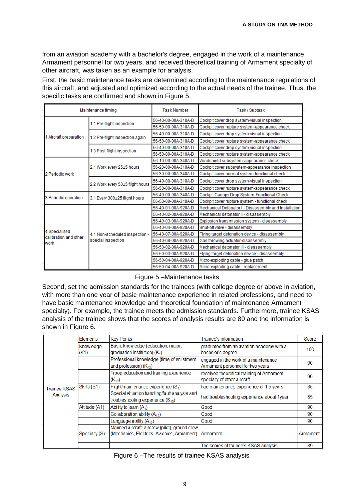from an aviation academy with a bachelor's degree, engaged in the work of a maintenance Armament personnel for two years, and received theoretical training of Armament specialty of other aircraft, was taken as an example for analysis.

First, the basic maintenance tasks are determined according to the maintenance regulations of this aircraft, and adjusted and optimized according to the actual needs of the trainee. Thus, the specific tasks are confirmed and shown in Figure 5.

|                                        | Maintenance timing               | <b>Task Number</b>  | Task / Subtask                                        |  |  |  |
|----------------------------------------|----------------------------------|---------------------|-------------------------------------------------------|--|--|--|
|                                        |                                  | 56-40-00-00A-310A-D | Cockpit cover drop system-visual inspection           |  |  |  |
|                                        | 1.1 Pre-flight inspection        | 56-50-00-00A-310A-D | Cockpit cover rupture system-appearance check         |  |  |  |
|                                        |                                  | 56-40-00-00A-310A-D | Cockpit cover drop system-visual inspection           |  |  |  |
| 1 Aircraft preparation                 | 1.2 Pre-flight inspection again  | 56-50-00-00A-310A-D | Cockpit cover rupture system-appearance check         |  |  |  |
|                                        |                                  | 56-40-00-00A-310A-D | Cockpit cover drop system-visual inspection           |  |  |  |
|                                        | 1.3 Post-flight inspection       | 56-50-00-00A-310A-D | Cockpit cover rupture system-appearance check         |  |  |  |
|                                        |                                  | 56-10-00-00A-340A-D | Windshield subsystem-appearance check                 |  |  |  |
|                                        | 2.1 Work every 25±5 hours        | 56-20-00-00A-310A-D | Cockpit cover subsystem-appearance inspection         |  |  |  |
| 2 Periodic work                        |                                  | 56-30-00-00A-340A-D | Cockpit cover normal system-functional check          |  |  |  |
| 3 Periodic operation                   | 2.2 Work every 50±5 flight hours | 56-40-00-00A-310A-D | Cockpit cover drop system-visual inspection           |  |  |  |
|                                        |                                  | 56-50-00-00A-310A-D | Cockpit cover rupture system-appearance check         |  |  |  |
|                                        | 3.1 Every 300±25 flight hours    | 56-40-00-00A-340A-D | Cockpit Canopy Drop System-Functional Check           |  |  |  |
|                                        |                                  | 56-50-00-00A-340A-D | Cockpit cover rupture system - functional check       |  |  |  |
|                                        |                                  | 56-40-01-00A-920A-D | Mechanical Detonator I - Disassembly and Installation |  |  |  |
|                                        |                                  | 56-40-02-00A-920A-D | Mechanical detonator II - disassembly                 |  |  |  |
|                                        |                                  | 56-40-03-00A-920A-D | Explosion transmission system - disassembly           |  |  |  |
|                                        |                                  | 56-40-04-00A-920A-D | Shut-off valve - disassembly                          |  |  |  |
| 4 Specialized<br>calibration and other | 4.1 Non-scheduled inspection -   | 56-40-07-00A-920A-D | Flying target detonation device - disassembly         |  |  |  |
| work                                   | special inspection               | 56-40-08-00A-920A-D | Gas throwing actuator-disassembly                     |  |  |  |
|                                        |                                  | 56-50-02-00A-920A-D | Mechanical detonator III - disassembly                |  |  |  |
|                                        |                                  | 56-50-03-00A-920A-D | Flying target detonation device - disassembly         |  |  |  |
|                                        |                                  | 56-50-04-00A-920A-D | Micro-exploding cable - glue patch                    |  |  |  |
|                                        |                                  | 56-50-04-00A-920A-D | Micro-exploding cable - replacement                   |  |  |  |

Figure 5 –Maintenance tasks

Second, set the admission standards for the trainees (with college degree or above in aviation, with more than one year of basic maintenance experience in related professions, and need to have basic maintenance knowledge and theoretical foundation of maintenance Armament specialty). For example, the trainee meets the admission standards. Furthermore, trainee KSAS analysis of the trainee shows that the scores of analysis results are 89 and the information is shown in Figure 6.

|  |                                 | <b>Elements</b>                                       | <b>Key Points</b>                                                                           | Trainee's information                                                    | Score    |
|--|---------------------------------|-------------------------------------------------------|---------------------------------------------------------------------------------------------|--------------------------------------------------------------------------|----------|
|  |                                 | Knowledge<br>(K1)                                     | Basic knowledge (education, major,<br>$\sigma$ graduation institution) ( $K_1$ )            | graduated from an aviation academy with a<br>bachelor's degree           | 100      |
|  |                                 |                                                       | Professional knowledge (time of enlistment<br>and profession) $(K_{12})$                    | engaged in the work of a maintenance<br>Armament personnel for two years | 90       |
|  |                                 | Troop education and training experience<br>$(K_{13})$ | received theoretical training of Armament<br>specialty of other aircraft                    | 90                                                                       |          |
|  | <b>Trainee KSAS</b><br>Analysis | Skills (S1)                                           | Flight/maintenance experience $(S_1)$                                                       | had maintenance experience of 1.5 years                                  | 85       |
|  |                                 |                                                       | Special situation handling/fault analysis and<br>troubleshooting experience $(S_{12})$      | had troubleshooting experience about 1year                               | 85       |
|  |                                 | Attitude (A1)                                         | Ability to learn $(A_1)$                                                                    | Good                                                                     | 90       |
|  |                                 |                                                       | Collaboration ability $(A_{12})$                                                            | Good                                                                     | 90       |
|  |                                 |                                                       | Language ability $(A_{13})$                                                                 | Good                                                                     | 90       |
|  |                                 | Specialty (S)                                         | Manned aircraft: aircrew (pilot), ground crew<br>(Mechanics, Electrics, Avionics, Armament) | <b>Armament</b>                                                          | Armament |
|  |                                 |                                                       |                                                                                             | The scores of trainee's KSAS analysis                                    | 89       |
|  |                                 |                                                       |                                                                                             |                                                                          |          |

| Figure 6 - The results of trainee KSAS analysis |
|-------------------------------------------------|
|-------------------------------------------------|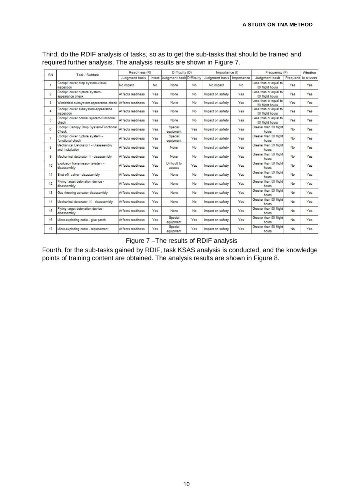| SN             |                                                          | Readiness (R)<br>Difficulty (D)<br>Task / Subtask |     |                                  | Importance (I) |                  | Frequency (F) |                                          | Whether |                    |
|----------------|----------------------------------------------------------|---------------------------------------------------|-----|----------------------------------|----------------|------------------|---------------|------------------------------------------|---------|--------------------|
|                |                                                          | Judgment basis                                    |     | Intact Uudgment basis Difficulty |                | Judament basis   | Importance    | Judgment basis                           |         | Frequent to choose |
| 1              | Cockpit cover drop system-visual<br>inspection           | No impact                                         | No  | None                             | No.            | No impact        | No            | Less than or equal to<br>50 flight hours | Yes     | Yes                |
| $\overline{2}$ | Cockpit cover rupture system-<br>appearance check        | Affects readiness                                 | Yes | None                             | No             | Impact on safety | Yes           | Less than or equal to<br>50 flight hours | Yes     | Yes                |
| 3              | Windshield subsystem-appearance check Affects readiness  |                                                   | Yes | None                             | No             | Impact on safety | Yes           | Less than or equal to<br>50 flight hours | Yes     | Yes                |
| 4              | Cockpit cover subsystem-appearance<br>inspection         | Affects readiness                                 | Yes | None                             | No             | Impact on safety | Yes           | Less than or equal to<br>50 flight hours | Yes     | Yes                |
| 5              | Cockpit cover normal system-functional<br>check          | Affects readiness                                 | Yes | None                             | No             | Impact on safety | Yes           | Less than or equal to<br>50 flight hours | Yes     | Yes                |
| 8              | Cockpit Canopy Drop System-Functional<br>Check           | Affects readiness                                 | Yes | Special<br>equipment             | Yes            | Impact on safety | Yes           | Greater than 50 flight<br>hours          | No      | Yes                |
| $\overline{7}$ | Cockpit cover rupture system -<br>functional check       | Affects readiness                                 | Yes | Special<br>equipment             | Yes            | Impact on safety | Yes           | Greater than 50 flight<br>hours          | No      | Yes                |
| 8              | Mechanical Detonator I - Disassembly<br>and Installation | Affects readiness                                 | Yes | None                             | No             | Impact on safety | Yes           | Greater than 50 flight<br>hours          | No      | Yes                |
| 9              | Mechanical detonator II - disassembly                    | Affects readiness                                 | Yes | None                             | No             | Impact on safety | Yes           | Greater than 50 flight<br>hours          | No      | Yes                |
| 10             | Explosion transmission system -<br>disassembly           | Affects readiness                                 | Yes | Difficult to<br>access           | Yes            | Impact on safety | Yes           | Greater than 50 flight<br>hours          | No      | Yes                |
| 11             | Shut-off valve - disassembly                             | Affects readiness                                 | Yes | None                             | No             | Impact on safety | Yes           | Greater than 50 flight<br>hours          | No      | Yes                |
| 12             | Flying target detonation device -<br>disassembly         | Affects readiness                                 | Yes | None                             | No             | Impact on safety | Yes           | Greater than 50 flight<br>hours          | No      | Yes                |
| 13             | Gas throwing actuator-disassembly                        | Affects readiness                                 | Yes | None                             | No             | Impact on safety | Yes           | Greater than 50 flight<br>hours          | No      | Yes                |
| 14             | Mechanical detonator III - disassembly                   | Affects readiness                                 | Yes | None                             | No             | Impact on safety | Yes           | Greater than 50 flight<br>hours          | No      | Yes                |
| 15             | Flying target detonation device -<br>disassembly         | Affects readiness                                 | Yes | None                             | No             | Impact on safety | Yes           | Greater than 50 flight<br>hours          | No      | Yes                |
| 16             | Micro-exploding cable - glue patch                       | Affects readiness                                 | Yes | Special<br>equipment             | Yes            | Impact on safety | Yes           | Greater than 50 flight<br>hours          | No      | Yes                |
| 17             | Micro-exploding cable - replacement                      | Affects readiness                                 | Yes | Special<br>equipment             | Yes            | Impact on safety | Yes           | Greater than 50 flight<br>hours          | No      | Yes                |

Third, do the RDIF analysis of tasks, so as to get the sub-tasks that should be trained and required further analysis. The analysis results are shown in Figure 7.

Figure 7 –The results of RDIF analysis

Fourth, for the sub-tasks gained by RDIF, task KSAS analysis is conducted, and the knowledge points of training content are obtained. The analysis results are shown in Figure 8.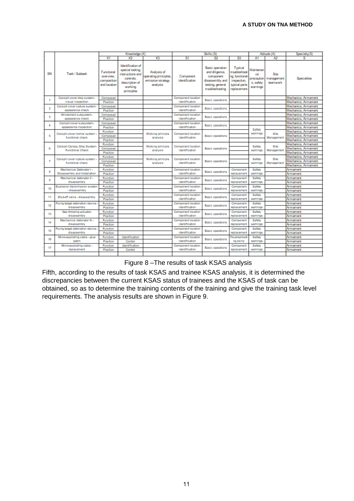|                         |                                                        | Knowledge (K)                                          |                                                                                                                   |                                                                       |                                      |                                                                                                                 |                                                                                           | Attitude (A)                                           | Specialty(S)                   |                     |
|-------------------------|--------------------------------------------------------|--------------------------------------------------------|-------------------------------------------------------------------------------------------------------------------|-----------------------------------------------------------------------|--------------------------------------|-----------------------------------------------------------------------------------------------------------------|-------------------------------------------------------------------------------------------|--------------------------------------------------------|--------------------------------|---------------------|
|                         |                                                        | K1                                                     | K2                                                                                                                | K3                                                                    | S1                                   | S2                                                                                                              | S3                                                                                        | A1                                                     | A2                             | s                   |
| SN                      | Task / Subtask                                         | Functional<br>overview.<br>composition<br>and location | Identification of<br>special tooling.<br>instructions and<br>controls.<br>description of<br>working<br>principles | Analysis of<br>operating principles.<br>emission strategy<br>analysis | Component<br>identification          | <b>Basic operation</b><br>and diligence.<br>component<br>disassembly and<br>testing, general<br>traubleshooting | Typical<br>troubleshooti<br>na, functional<br>inspection,<br>typical parts<br>replacement | Maintenan<br>ĊВ<br>precaution<br>s. safety<br>warnings | Site<br>management<br>teamwork | Specialties         |
| 1                       | Cockpit cover drop system-                             | Composed                                               |                                                                                                                   |                                                                       | Component location                   | Basic operations                                                                                                |                                                                                           |                                                        |                                | Mechanics, Armament |
|                         | visual inspection                                      | Position                                               |                                                                                                                   |                                                                       | identification                       |                                                                                                                 |                                                                                           |                                                        |                                | Mechanics, Armament |
| $\overline{\mathbf{z}}$ | Cockpit cover rupture system-                          | Composed                                               |                                                                                                                   |                                                                       | Component location                   | Basic operations                                                                                                |                                                                                           |                                                        |                                | Mechanics, Armament |
|                         | appearance check                                       | Position                                               |                                                                                                                   |                                                                       | identification                       |                                                                                                                 |                                                                                           |                                                        |                                | Mechanics, Armament |
| з                       | Windshield subsystem-                                  | Composed                                               |                                                                                                                   |                                                                       | Component location                   | Basic operations                                                                                                |                                                                                           |                                                        |                                | Mechanics. Armament |
|                         | appearance check                                       | Position                                               |                                                                                                                   |                                                                       | identification                       |                                                                                                                 |                                                                                           |                                                        |                                | Mechanics, Armament |
| 4                       | Cockpit cover subsystem-                               | Composed                                               |                                                                                                                   |                                                                       | Component location                   | Basic operations                                                                                                |                                                                                           |                                                        |                                | Mechanics, Armament |
|                         | appearance inspection                                  | Position                                               |                                                                                                                   |                                                                       | identification                       |                                                                                                                 |                                                                                           | Safety                                                 |                                | Mechanics, Armament |
|                         | Cockpit cover normal system -                          | <b>Function</b>                                        |                                                                                                                   | Working principle                                                     | Component location                   |                                                                                                                 |                                                                                           | waminos                                                | Site<br>Management             | Mechanics, Armament |
| Б                       | functional check                                       | Composed                                               |                                                                                                                   | analysis                                                              | identification                       | Basic operations                                                                                                |                                                                                           |                                                        |                                | Mechanics, Armament |
|                         |                                                        | Position                                               |                                                                                                                   |                                                                       |                                      |                                                                                                                 |                                                                                           |                                                        |                                | Mechanics, Armament |
|                         | Cockpit Canopy Drop System-<br><b>Functional Check</b> | Function                                               |                                                                                                                   | Working principle                                                     | Component location<br>identification | Basic operations                                                                                                |                                                                                           | Safety<br>wamings                                      | Site                           | Mechanics, Armament |
| g,                      |                                                        | Composed                                               |                                                                                                                   | analysis                                                              |                                      |                                                                                                                 |                                                                                           |                                                        | Management                     | Mechanics, Armament |
|                         |                                                        | Position                                               |                                                                                                                   |                                                                       |                                      |                                                                                                                 |                                                                                           |                                                        |                                | Mechanics, Armament |
|                         | Cockpit cover rupture system -<br>functional check     | Function                                               |                                                                                                                   | Working principle                                                     | Component location<br>identification | Basic operations                                                                                                |                                                                                           | Safety                                                 | Site<br>Management             | Mechanics, Armament |
| $\tau$                  |                                                        | Composed                                               |                                                                                                                   | analysis                                                              |                                      |                                                                                                                 |                                                                                           | wamings                                                |                                | Mechanics, Armament |
|                         |                                                        | Position                                               |                                                                                                                   |                                                                       |                                      |                                                                                                                 |                                                                                           |                                                        |                                | Mechanics, Armament |
| 8                       | Mechanical Detonator I -                               | Function                                               |                                                                                                                   |                                                                       | Component location                   | Basic operations                                                                                                | Component                                                                                 | Safety                                                 |                                | Armament            |
|                         | Disassembly and Installation                           | Position                                               |                                                                                                                   |                                                                       | identification                       |                                                                                                                 | replacement                                                                               | wamings                                                |                                | Armament            |
| G)                      | Mechanical detonator II -                              | Function                                               |                                                                                                                   |                                                                       | Component location                   | Basic operations                                                                                                | Component                                                                                 | Safety                                                 |                                | Armament            |
|                         | disassembly                                            | Position                                               |                                                                                                                   |                                                                       | identification                       |                                                                                                                 | replacement                                                                               | wamings                                                |                                | Armament            |
| 10                      | Explosion transmission system                          | Function                                               |                                                                                                                   |                                                                       | Component location                   | Basic operations                                                                                                | Component                                                                                 | Safety                                                 |                                | Armament            |
|                         | - disassembly                                          | Position                                               |                                                                                                                   |                                                                       | identification                       |                                                                                                                 | replacement                                                                               | wamings                                                |                                | Armament            |
| 11                      | Shut-off valve - disassembly                           | Function                                               |                                                                                                                   |                                                                       | Component location                   | Basic operations                                                                                                | Component                                                                                 | Safety                                                 |                                | Armament            |
|                         |                                                        | Position                                               |                                                                                                                   |                                                                       | identification                       |                                                                                                                 | replacement                                                                               | wamings                                                |                                | Armament            |
| 12                      | Flying target detonation device -                      | Function                                               |                                                                                                                   |                                                                       | Component location                   | Basic operations                                                                                                | Component                                                                                 | Safety                                                 |                                | Armament            |
|                         | disassembly                                            | Position                                               |                                                                                                                   |                                                                       | identification                       |                                                                                                                 | replacement                                                                               | wamings                                                |                                | Armament            |
| 13                      | Gas throwing actuator-                                 | Function                                               |                                                                                                                   |                                                                       | Component location                   | Basic operations                                                                                                | Component                                                                                 | Safety                                                 |                                | Armament            |
|                         | disassembly                                            | Position                                               |                                                                                                                   |                                                                       | identification                       |                                                                                                                 | replacement                                                                               | waminos                                                |                                | Armament            |
| 14                      | Mechanical detenator III -                             | Function                                               |                                                                                                                   |                                                                       | Component location                   | Basic operations                                                                                                | Component                                                                                 | Safety                                                 |                                | Armament            |
|                         | disassembly                                            | Position                                               |                                                                                                                   |                                                                       | identification                       |                                                                                                                 | replacement                                                                               | wamings                                                |                                | Armament            |
| 15                      | Flying target detonation device -                      | Function                                               |                                                                                                                   |                                                                       | Component location                   | Basic operations                                                                                                | Component                                                                                 | Safety                                                 |                                | Armament            |
|                         | disassembly                                            | Position                                               |                                                                                                                   |                                                                       | identification                       |                                                                                                                 | replacement                                                                               | wamings                                                |                                | Armament            |
| 16                      | Micro-exploding cable - glue                           | Function                                               | Identification                                                                                                    |                                                                       | Component location                   | Basic coerations                                                                                                | Troubleshooti                                                                             | Safety                                                 |                                | Armament            |
|                         | patch                                                  | Position                                               | Control                                                                                                           |                                                                       | identification                       |                                                                                                                 | ng skills                                                                                 | wamings                                                |                                | Armament            |
| 17                      | Micro-exploding cable -                                | Function                                               | Identification                                                                                                    |                                                                       | Component location                   |                                                                                                                 | Component                                                                                 | Safety                                                 |                                | Armament            |
|                         | replacement                                            | Position                                               | Control                                                                                                           |                                                                       | identification                       | Basic operations                                                                                                | replacement                                                                               | wamings                                                |                                | Armament            |
|                         |                                                        |                                                        |                                                                                                                   |                                                                       |                                      |                                                                                                                 |                                                                                           |                                                        |                                |                     |

Figure 8 –The results of task KSAS analysis

Fifth, according to the results of task KSAS and trainee KSAS analysis, it is determined the discrepancies between the current KSAS status of trainees and the KSAS of task can be obtained, so as to determine the training contents of the training and give the training task level requirements. The analysis results are shown in Figure 9.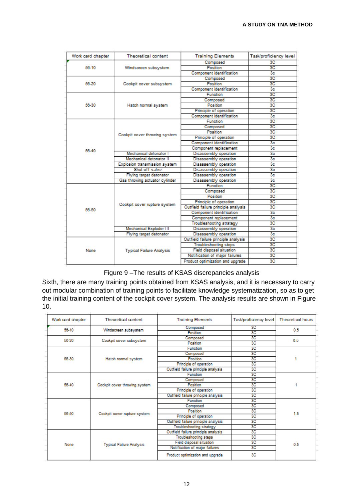| Work card chapter | Theoretical content             | <b>Training Elements</b>            | Task/proficiency level |
|-------------------|---------------------------------|-------------------------------------|------------------------|
|                   |                                 | Composed                            | 3C                     |
| 56-10             | Windscreen subsystem            | Position                            | 3C                     |
|                   |                                 | <b>Component identification</b>     | 3 <sub>c</sub>         |
|                   |                                 | Composed                            | 3C                     |
| 56-20             | Cockpit cover subsystem         | Position                            | 3C                     |
|                   |                                 | <b>Component identification</b>     | 3 <sub>c</sub>         |
|                   |                                 | Function                            | 3C                     |
|                   |                                 | Composed                            | 3C                     |
| 56-30             | Hatch normal system             | Position                            | 3C                     |
|                   |                                 | Principle of operation              | 3C                     |
|                   |                                 | <b>Component identification</b>     | 3 <sub>c</sub>         |
|                   |                                 | <b>Function</b>                     | 3C                     |
|                   |                                 | Composed                            | 3C                     |
|                   |                                 | Position                            | 3C                     |
|                   | Cockpit cover throwing system   | Principle of operation              | 3C                     |
|                   |                                 | Component identification            | 3 <sub>c</sub>         |
|                   |                                 | Component replacement               | 3 <sub>c</sub>         |
| 56-40             | Mechanical detonator I          | Disassembly operation               | 3 <sub>c</sub>         |
|                   | Mechanical detonator II         | Disassembly operation               | 3 <sub>c</sub>         |
|                   | Explosion transmission system   | Disassembly operation               | 3 <sub>c</sub>         |
|                   | Shut-off valve                  | Disassembly operation               | 3 <sub>c</sub>         |
|                   | Flying target detonator         | Disassembly operation               | 3 <sub>c</sub>         |
|                   | Gas throwing actuator cylinder  | Disassembly operation               | 3 <sub>c</sub>         |
|                   |                                 | <b>Function</b>                     | 3C                     |
|                   |                                 | Composed                            | 3C                     |
|                   |                                 | Position                            | 3C                     |
|                   |                                 | Principle of operation              | 3C                     |
|                   | Cockpit cover rupture system    | Outfield failure principle analysis | 3C                     |
| 58-50             |                                 | Component identification            | 3c                     |
|                   |                                 | Component replacement               | 3 <sub>c</sub>         |
|                   |                                 | Troubleshooting strategy            | 3C                     |
|                   | Mechanical Exploder III         | Disassembly operation               | 3 <sub>c</sub>         |
|                   | Flying target detonator         | Disassembly operation               | 3 <sub>c</sub>         |
|                   | <b>Typical Failure Analysis</b> | Outfield failure principle analysis | 3C                     |
|                   |                                 | <b>Troubleshooting steps</b>        | 3C                     |
| None              |                                 | <b>Field disposal situation</b>     | 3C                     |
|                   |                                 | Notification of major failures      | 3C                     |
|                   |                                 | Product optimization and upgrade    | 3C                     |

Figure 9 –The results of KSAS discrepancies analysis

Sixth, there are many training points obtained from KSAS analysis, and it is necessary to carry out modular combination of training points to facilitate knowledge systematization, so as to get the initial training content of the cockpit cover system. The analysis results are shown in Figure 10.

| Work card chapter | Theoretical content             | <b>Training Elements</b>            | Task/proficiency level | <b>Theoretical hours</b> |  |
|-------------------|---------------------------------|-------------------------------------|------------------------|--------------------------|--|
| 56-10             | Windscreen subsystem            | Composed                            | 3C                     | 0.5                      |  |
|                   |                                 | Position                            | 3C                     |                          |  |
| 56-20             | Cockpit cover subsystem         | Composed                            | 3C                     | 0.5                      |  |
|                   |                                 | Position                            | 3C                     |                          |  |
|                   |                                 | <b>Function</b>                     | 3C                     |                          |  |
|                   |                                 | Composed                            | 3C                     |                          |  |
| 56-30             | Hatch normal system             | Position                            | 3C                     |                          |  |
|                   |                                 | Principle of operation              | 3C                     |                          |  |
|                   |                                 | Outfield failure principle analysis | 3C                     |                          |  |
|                   |                                 | <b>Function</b>                     | 3C                     |                          |  |
|                   |                                 | Composed                            | 3С                     |                          |  |
| 56-40             | Cockpit cover throwing system   | Position                            | 3C                     |                          |  |
|                   |                                 | Principle of operation              | 3C                     |                          |  |
|                   |                                 | Outfield failure principle analysis | 3C                     |                          |  |
| 58-50             |                                 | <b>Function</b>                     | 3C                     |                          |  |
|                   |                                 | Composed                            | 3С                     |                          |  |
|                   |                                 | Position                            | 3C                     | 1.5                      |  |
|                   | Cockpit cover rupture system    | Principle of operation              | 3C                     |                          |  |
|                   |                                 | Outfield failure principle analysis | 3C                     |                          |  |
|                   |                                 | <b>Troubleshooting strategy</b>     | 3C                     |                          |  |
| None              |                                 | Outfield failure principle analysis | 3C                     |                          |  |
|                   |                                 | <b>Troubleshooting steps</b>        | 3C                     |                          |  |
|                   | <b>Typical Failure Analysis</b> | <b>Field disposal situation</b>     | 3С                     | 0.5                      |  |
|                   |                                 | Notification of major failures      | 3C                     |                          |  |
|                   |                                 | Product optimization and upgrade    | 3C                     |                          |  |
|                   |                                 |                                     |                        |                          |  |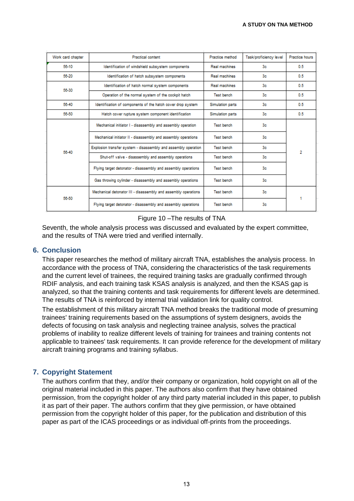| Work card chapter | <b>Practical content</b>                                       | Practice method         | Task/proficiency level | Practice hours |  |
|-------------------|----------------------------------------------------------------|-------------------------|------------------------|----------------|--|
| 56-10             | Identification of windshield subsystem components              | Real machines           | 3c                     | 0.5            |  |
| 56-20             | Identification of hatch subsystem components                   | Real machines           | 3с.                    | 0.5            |  |
| 56-30             | Identification of hatch normal system components               | Real machines           | 3 <sub>c</sub>         | 0.5            |  |
|                   | Operation of the normal system of the cockpit hatch            | <b>Test bench</b>       | 3с.                    | 0.5            |  |
| 56-40             | Identification of components of the hatch cover drop system    | <b>Simulation parts</b> | 3 <sub>c</sub>         | 0.5            |  |
| 58-50             | Hatch cover rupture system component identification            | <b>Simulation parts</b> | 3 <sub>c</sub>         | 0.5            |  |
| 56-40             | Mechanical initiator I - disassembly and assembly operation    | <b>Test bench</b>       | 3 <sub>c</sub>         |                |  |
|                   | Mechanical initiator II - disassembly and assembly operations  | <b>Test bench</b>       | 3с.                    | 2              |  |
|                   | Explosion transfer system - disassembly and assembly operation | <b>Test bench</b>       | 3с.                    |                |  |
|                   | Shut-off valve - disassembly and assembly operations           | <b>Test bench</b>       | 3 <sub>c</sub>         |                |  |
|                   | Flying target detonator - disassembly and assembly operations  | <b>Test bench</b>       | 3 <sub>c</sub>         |                |  |
|                   | Gas throwing cylinder - disassembly and assembly operations    | <b>Test bench</b>       | 3e                     |                |  |
| 58-50             | Mechanical detonator III - disassembly and assembly operations | <b>Test bench</b>       | 3 <sub>c</sub>         |                |  |
|                   | Flying target detonator - disassembly and assembly operations  | <b>Test bench</b>       | 3 <sub>c</sub>         |                |  |

Figure 10 –The results of TNA

Seventh, the whole analysis process was discussed and evaluated by the expert committee, and the results of TNA were tried and verified internally.

#### **6. Conclusion**

This paper researches the method of military aircraft TNA, establishes the analysis process. In accordance with the process of TNA, considering the characteristics of the task requirements and the current level of trainees, the required training tasks are gradually confirmed through RDIF analysis, and each training task KSAS analysis is analyzed, and then the KSAS gap is analyzed, so that the training contents and task requirements for different levels are determined. The results of TNA is reinforced by internal trial validation link for quality control.

The establishment of this military aircraft TNA method breaks the traditional mode of presuming trainees' training requirements based on the assumptions of system designers, avoids the defects of focusing on task analysis and neglecting trainee analysis, solves the practical problems of inability to realize different levels of training for trainees and training contents not applicable to trainees' task requirements. It can provide reference for the development of military aircraft training programs and training syllabus.

## **7. Copyright Statement**

The authors confirm that they, and/or their company or organization, hold copyright on all of the original material included in this paper. The authors also confirm that they have obtained permission, from the copyright holder of any third party material included in this paper, to publish it as part of their paper. The authors confirm that they give permission, or have obtained permission from the copyright holder of this paper, for the publication and distribution of this paper as part of the ICAS proceedings or as individual off-prints from the proceedings.